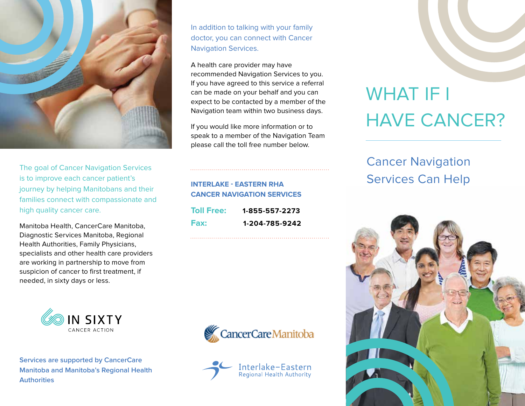

The goal of Cancer Navigation Services is to improve each cancer patient's journey by helping Manitobans and their families connect with compassionate and high quality cancer care.

Manitoba Health, CancerCare Manitoba, Diagnostic Services Manitoba, Regional Health Authorities, Family Physicians, specialists and other health care providers are working in partnership to move from suspicion of cancer to first treatment, if needed, in sixty days or less.



**Services are supported by CancerCare Manitoba and Manitoba's Regional Health Authorities**

In addition to talking with your family doctor, you can connect with Cancer Navigation Services.

A health care provider may have recommended Navigation Services to you. If you have agreed to this service a referral can be made on your behalf and you can expect to be contacted by a member of the Navigation team within two business days.

If you would like more information or to speak to a member of the Navigation Team please call the toll free number below.

#### **INTERLAKE - EASTERN RHA CANCER NAVIGATION SERVICES**

| <b>Toll Free:</b> | 1-855-557-2273 |
|-------------------|----------------|
| Fax:              | 1-204-785-9242 |





# WHAT IF I HAVE CANCER?

## Cancer Navigation Services Can Help